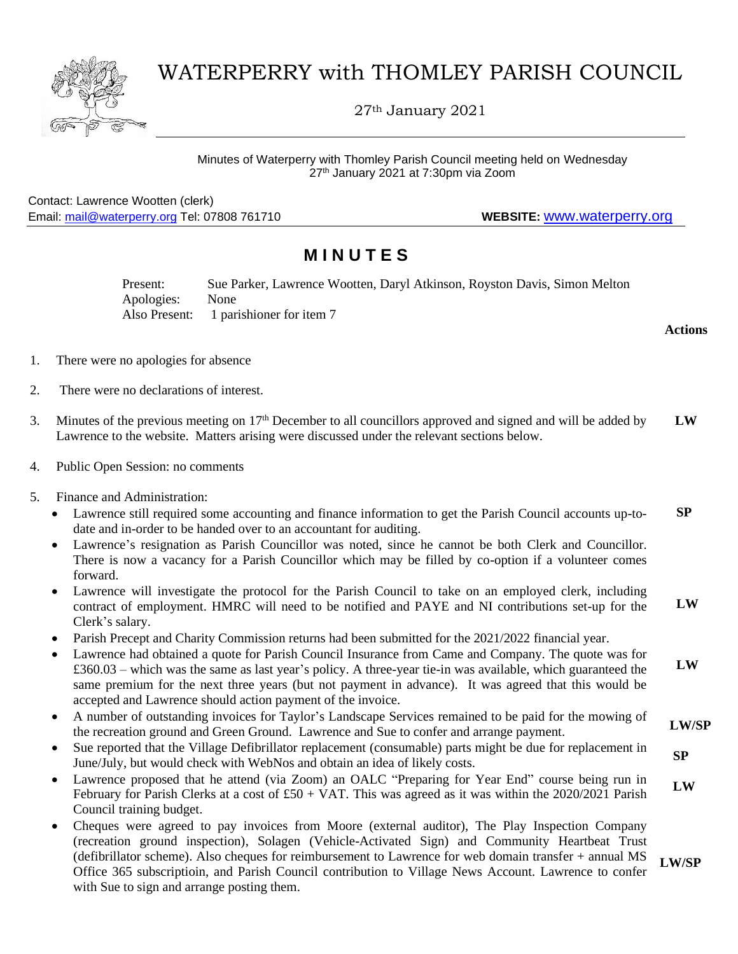

## WATERPERRY with THOMLEY PARISH COUNCIL

27th January 2021

Minutes of Waterperry with Thomley Parish Council meeting held on Wednesday 27<sup>th</sup> January 2021 at 7:30pm via Zoom

Contact: Lawrence Wootten (clerk) Email: [mail@waterperry.org](mailto:mail@waterperry.org) Tel: 07808 761710 **WEBSITE:** [www.waterperry.org](http://www.waterperry.org/)

## **M I N U T E S**

Present: Sue Parker, Lawrence Wootten, Daryl Atkinson, Royston Davis, Simon Melton Apologies: None Also Present: 1 parishioner for item 7

- 1. There were no apologies for absence
- 2. There were no declarations of interest.
- 3. Minutes of the previous meeting on  $17<sup>th</sup>$  December to all councillors approved and signed and will be added by Lawrence to the website. Matters arising were discussed under the relevant sections below. **LW**
- 4. Public Open Session: no comments
- 5. Finance and Administration:
	- Lawrence still required some accounting and finance information to get the Parish Council accounts up-todate and in-order to be handed over to an accountant for auditing.  **SP**
	- Lawrence's resignation as Parish Councillor was noted, since he cannot be both Clerk and Councillor. There is now a vacancy for a Parish Councillor which may be filled by co-option if a volunteer comes forward.
	- Lawrence will investigate the protocol for the Parish Council to take on an employed clerk, including contract of employment. HMRC will need to be notified and PAYE and NI contributions set-up for the Clerk's salary.  **LW**
	- Parish Precept and Charity Commission returns had been submitted for the 2021/2022 financial year.
	- Lawrence had obtained a quote for Parish Council Insurance from Came and Company. The quote was for £360.03 – which was the same as last year's policy. A three-year tie-in was available, which guaranteed the same premium for the next three years (but not payment in advance). It was agreed that this would be accepted and Lawrence should action payment of the invoice.  **LW**
	- A number of outstanding invoices for Taylor's Landscape Services remained to be paid for the mowing of the recreation ground and Green Ground. Lawrence and Sue to confer and arrange payment.  **LW/SP**
	- Sue reported that the Village Defibrillator replacement (consumable) parts might be due for replacement in June/July, but would check with WebNos and obtain an idea of likely costs.  **SP**
	- Lawrence proposed that he attend (via Zoom) an OALC "Preparing for Year End" course being run in February for Parish Clerks at a cost of £50 + VAT. This was agreed as it was within the 2020/2021 Parish Council training budget.  **LW**
	- Cheques were agreed to pay invoices from Moore (external auditor), The Play Inspection Company (recreation ground inspection), Solagen (Vehicle-Activated Sign) and Community Heartbeat Trust (defibrillator scheme). Also cheques for reimbursement to Lawrence for web domain transfer + annual MS Office 365 subscriptioin, and Parish Council contribution to Village News Account. Lawrence to confer with Sue to sign and arrange posting them. **LW/SP**

**Actions**